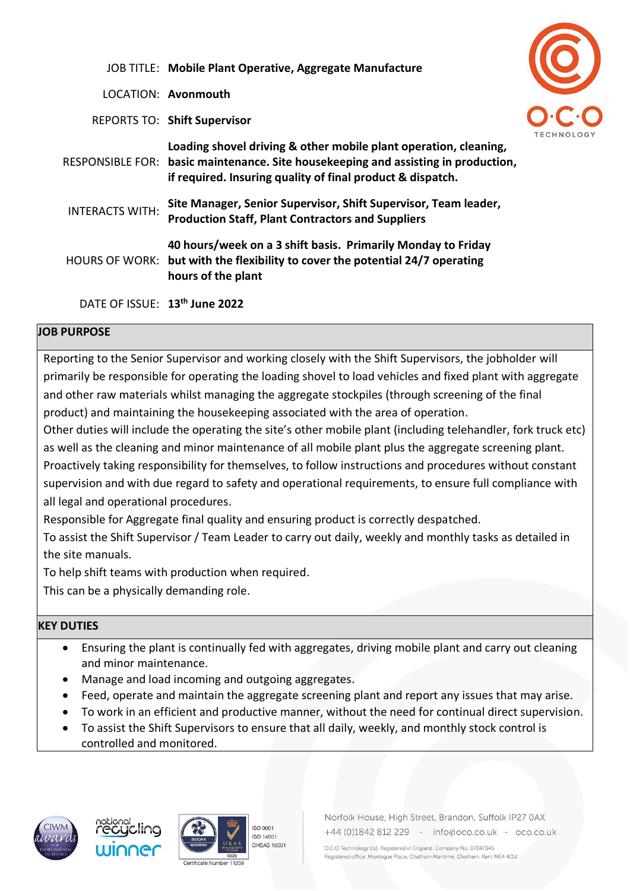|                                           | JOB TITLE: Mobile Plant Operative, Aggregate Manufacture                                                                                                                                                             |  |
|-------------------------------------------|----------------------------------------------------------------------------------------------------------------------------------------------------------------------------------------------------------------------|--|
|                                           | LOCATION: <b>Avonmouth</b>                                                                                                                                                                                           |  |
|                                           | <b>REPORTS TO: Shift Supervisor</b>                                                                                                                                                                                  |  |
|                                           | Loading shovel driving & other mobile plant operation, cleaning,<br>RESPONSIBLE FOR: basic maintenance. Site housekeeping and assisting in production,<br>if required. Insuring quality of final product & dispatch. |  |
| <b>INTERACTS WITH:</b>                    | Site Manager, Senior Supervisor, Shift Supervisor, Team leader,<br><b>Production Staff, Plant Contractors and Suppliers</b>                                                                                          |  |
|                                           | 40 hours/week on a 3 shift basis. Primarily Monday to Friday<br>HOURS OF WORK: but with the flexibility to cover the potential 24/7 operating<br>hours of the plant                                                  |  |
| DATE OF ISSUE: 13 <sup>th</sup> June 2022 |                                                                                                                                                                                                                      |  |

## **JOB PURPOSE**

Reporting to the Senior Supervisor and working closely with the Shift Supervisors, the jobholder will primarily be responsible for operating the loading shovel to load vehicles and fixed plant with aggregate and other raw materials whilst managing the aggregate stockpiles (through screening of the final product) and maintaining the housekeeping associated with the area of operation.

Other duties will include the operating the site's other mobile plant (including telehandler, fork truck etc) as well as the cleaning and minor maintenance of all mobile plant plus the aggregate screening plant. Proactively taking responsibility for themselves, to follow instructions and procedures without constant supervision and with due regard to safety and operational requirements, to ensure full compliance with all legal and operational procedures.

Responsible for Aggregate final quality and ensuring product is correctly despatched.

To assist the Shift Supervisor / Team Leader to carry out daily, weekly and monthly tasks as detailed in the site manuals.

To help shift teams with production when required.

This can be a physically demanding role.

## **KEY DUTIES**

- Ensuring the plant is continually fed with aggregates, driving mobile plant and carry out cleaning and minor maintenance.
- Manage and load incoming and outgoing aggregates.
- Feed, operate and maintain the aggregate screening plant and report any issues that may arise.
- To work in an efficient and productive manner, without the need for continual direct supervision.
- To assist the Shift Supervisors to ensure that all daily, weekly, and monthly stock control is controlled and monitored.









Norfolk House, High Street, Brandon, Suffolk IP27 0AX +44 (0)1842 812 229 - info@oco.co.uk - oco.co.uk

O.C.O Technology Ltd. Registered in England. Company No: 07247345 Registered office: Montague Place, Chatham Maritime, Chatham, Kent ME4 4QU